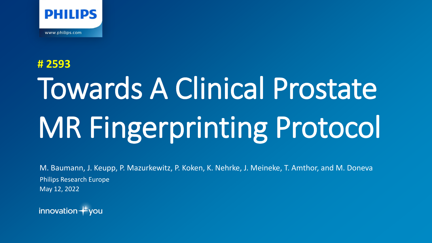

# Towards A Clinical Prostate MR Fingerprinting Protocol **# 2593**

M. Baumann, J. Keupp, P. Mazurkewitz, P. Koken, K. Nehrke, J. Meineke, T. Amthor, and M. Doneva May 12, 2022 Philips Research Europe

innovation  $+$ you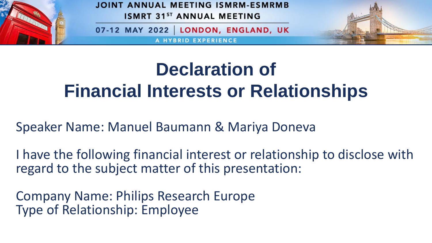

JOINT ANNUAL MEETING ISMRM-ESMRMB **ISMRT 31ST ANNUAL MEETING** 

07-12 MAY 2022 LONDON, ENGLAND, UK

**RID EXPERIENCE** 



### **Declaration of Financial Interests or Relationships**

Speaker Name: Manuel Baumann & Mariya Doneva

I have the following financial interest or relationship to disclose with regard to the subject matter of this presentation:

Company Name: Philips Research Europe Type of Relationship: Employee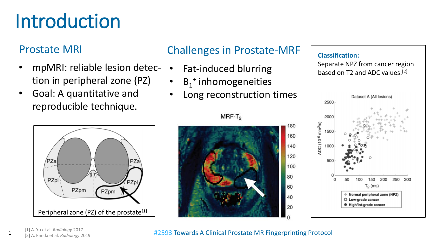## Introduction

#### Prostate MRI

- mpMRI: reliable lesion detection in peripheral zone (PZ)
- Goal: A quantitative and reproducible technique.



#### Challenges in Prostate-MRF

- Fat-induced blurring
- $B_1^+$  inhomogeneities
- Long reconstruction times



#### **Classification:**

Separate NPZ from cancer region based on T2 and ADC values. [2]



#### #2593 Towards A Clinical Prostate MR Fingerprinting Protocol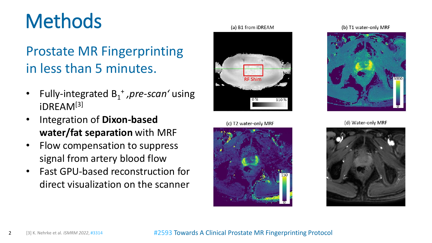### **Methods**

### Prostate MR Fingerprinting in less than 5 minutes.

- Fully-integrated B<sub>1</sub><sup>+</sup>, pre-scan' using iDREAM[3]
- Integration of **Dixon-based water/fat separation** with MRF
- Flow compensation to suppress signal from artery blood flow
- Fast GPU-based reconstruction for direct visualization on the scanner



(c) T2 water-only MRF



(b) T1 water-only MRF



(d) Water-only MRF

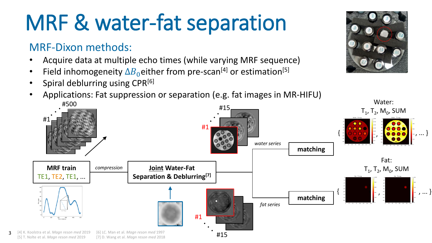## MRF & water-fat separation

#### MRF-Dixon methods:

3

- Acquire data at multiple echo times (while varying MRF sequence)
- Field inhomogeneity  $\Delta B_0$  either from pre-scan<sup>[4]</sup> or estimation<sup>[5]</sup>
- Spiral deblurring using CPR<sup>[6]</sup>
- Applications: Fat suppression or separation (e.g. fat images in MR-HIFU)



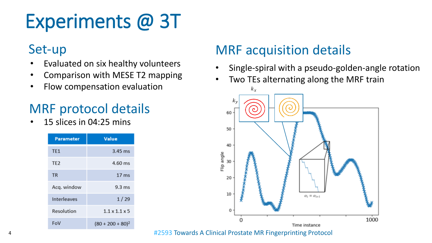## Experiments @ 3T

#### Set-up

- Evaluated on six healthy volunteers
- Comparison with MESE T2 mapping
- Flow compensation evaluation

### MRF protocol details

• 15 slices in 04:25 mins

| <b>Parameter</b> | Value                     |
|------------------|---------------------------|
| TE <sub>1</sub>  | $3.45$ ms                 |
| TE <sub>2</sub>  | 4.60 ms                   |
| TR               | $17 \text{ ms}$           |
| Acq. window      | $9.3 \text{ ms}$          |
| Interleaves      | 1/29                      |
| Resolution       | $1.1 \times 1.1 \times 5$ |
| FoV              | $(80 + 200 + 80)^2$       |

### MRF acquisition details

- Single-spiral with a pseudo-golden-angle rotation
- Two TEs alternating along the MRF train



#2593 Towards A Clinical Prostate MR Fingerprinting Protocol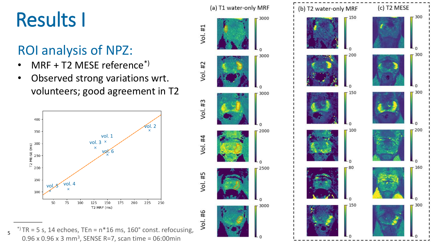## Results I

### ROI analysis of NPZ:

- MRF + T2 MESE reference\*)
- Observed strong variations wrt. volunteers; good agreement in T2



**#2593 Towards A Clinical Properties A Clinical Protocol 5 Protocol 5 Properties A Clinical Protocol 5** 0.96 x 0.96 x 3 mm<sup>3</sup>, SENSE R=7, scan time = 06:00min





(a) T1 water-only MRF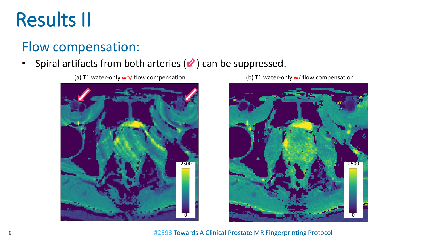### Results II

### Flow compensation:

#### Spiral artifacts from both arteries  $(2)$  can be suppressed.

(a) T1 water-only wo/ flow compensation  $($ b) T1 water-only w/ flow compensation





#2593 Towards A Clinical Prostate MR Fingerprinting Protocol